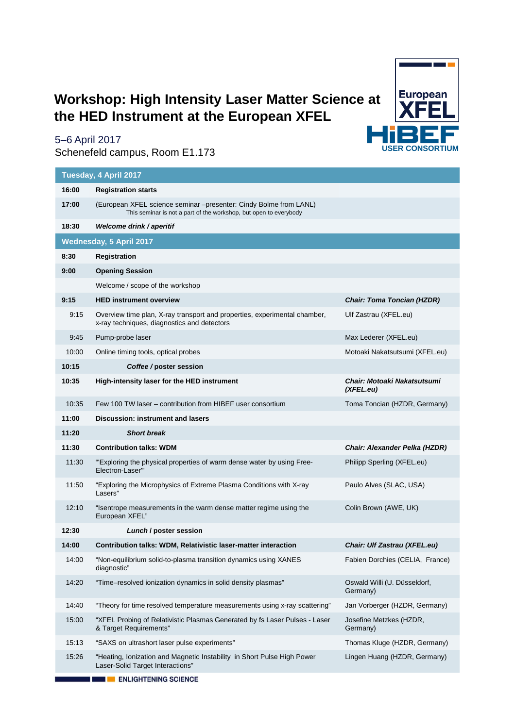## **Workshop: High Intensity Laser Matter Science at the HED Instrument at the European XFEL**



## 5–6 April 2017

Schenefeld campus, Room E1.173

| Tuesday, 4 April 2017          |                                                                                                                                        |                                                 |  |  |  |  |
|--------------------------------|----------------------------------------------------------------------------------------------------------------------------------------|-------------------------------------------------|--|--|--|--|
| 16:00                          | <b>Registration starts</b>                                                                                                             |                                                 |  |  |  |  |
| 17:00                          | (European XFEL science seminar -presenter: Cindy Bolme from LANL)<br>This seminar is not a part of the workshop, but open to everybody |                                                 |  |  |  |  |
| 18:30                          | Welcome drink / aperitif                                                                                                               |                                                 |  |  |  |  |
| <b>Wednesday, 5 April 2017</b> |                                                                                                                                        |                                                 |  |  |  |  |
| 8:30                           | Registration                                                                                                                           |                                                 |  |  |  |  |
| 9:00                           | <b>Opening Session</b>                                                                                                                 |                                                 |  |  |  |  |
|                                | Welcome / scope of the workshop                                                                                                        |                                                 |  |  |  |  |
| 9:15                           | <b>HED instrument overview</b>                                                                                                         | <b>Chair: Toma Toncian (HZDR)</b>               |  |  |  |  |
| 9:15                           | Overview time plan, X-ray transport and properties, experimental chamber,<br>x-ray techniques, diagnostics and detectors               | Ulf Zastrau (XFEL.eu)                           |  |  |  |  |
| 9:45                           | Pump-probe laser                                                                                                                       | Max Lederer (XFEL.eu)                           |  |  |  |  |
| 10:00                          | Online timing tools, optical probes                                                                                                    | Motoaki Nakatsutsumi (XFEL.eu)                  |  |  |  |  |
| 10:15                          | Coffee/poster session                                                                                                                  |                                                 |  |  |  |  |
| 10:35                          | High-intensity laser for the HED instrument                                                                                            | <b>Chair: Motoaki Nakatsutsumi</b><br>(XFEL.eu) |  |  |  |  |
| 10:35                          | Few 100 TW laser – contribution from HIBEF user consortium                                                                             | Toma Toncian (HZDR, Germany)                    |  |  |  |  |
| 11:00                          | <b>Discussion: instrument and lasers</b>                                                                                               |                                                 |  |  |  |  |
|                                |                                                                                                                                        |                                                 |  |  |  |  |
| 11:20                          | <b>Short break</b>                                                                                                                     |                                                 |  |  |  |  |
| 11:30                          | <b>Contribution talks: WDM</b>                                                                                                         | Chair: Alexander Pelka (HZDR)                   |  |  |  |  |
| 11:30                          | "Exploring the physical properties of warm dense water by using Free-<br>Electron-Laser"                                               | Philipp Sperling (XFEL.eu)                      |  |  |  |  |
| 11:50                          | "Exploring the Microphysics of Extreme Plasma Conditions with X-ray<br>Lasers"                                                         | Paulo Alves (SLAC, USA)                         |  |  |  |  |
| 12:10                          | "Isentrope measurements in the warm dense matter regime using the<br>European XFEL"                                                    | Colin Brown (AWE, UK)                           |  |  |  |  |
| 12:30                          | Lunch / poster session                                                                                                                 |                                                 |  |  |  |  |
| 14:00                          | Contribution talks: WDM, Relativistic laser-matter interaction                                                                         | Chair: Ulf Zastrau (XFEL.eu)                    |  |  |  |  |
| 14:00                          | "Non-equilibrium solid-to-plasma transition dynamics using XANES<br>diagnostic"                                                        | Fabien Dorchies (CELIA, France)                 |  |  |  |  |
| 14:20                          | "Time-resolved ionization dynamics in solid density plasmas"                                                                           | Oswald Willi (U. Düsseldorf,<br>Germany)        |  |  |  |  |
| 14:40                          | "Theory for time resolved temperature measurements using x-ray scattering"                                                             | Jan Vorberger (HZDR, Germany)                   |  |  |  |  |
| 15:00                          | "XFEL Probing of Relativistic Plasmas Generated by fs Laser Pulses - Laser<br>& Target Requirements"                                   | Josefine Metzkes (HZDR,<br>Germany)             |  |  |  |  |
| 15:13                          | "SAXS on ultrashort laser pulse experiments"                                                                                           | Thomas Kluge (HZDR, Germany)                    |  |  |  |  |
| 15:26                          | "Heating, Ionization and Magnetic Instability in Short Pulse High Power<br>Laser-Solid Target Interactions"                            | Lingen Huang (HZDR, Germany)                    |  |  |  |  |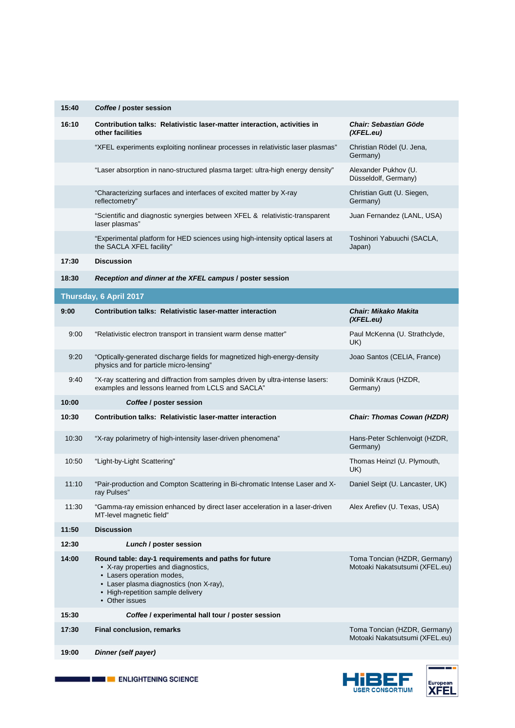| 15:40 | Coffee / poster session                                                                                                                                                                                                    |                                                                |  |  |  |
|-------|----------------------------------------------------------------------------------------------------------------------------------------------------------------------------------------------------------------------------|----------------------------------------------------------------|--|--|--|
| 16:10 | Contribution talks: Relativistic laser-matter interaction, activities in<br>other facilities                                                                                                                               | <b>Chair: Sebastian Göde</b><br>(XFEL.eu)                      |  |  |  |
|       | "XFEL experiments exploiting nonlinear processes in relativistic laser plasmas"                                                                                                                                            | Christian Rödel (U. Jena,<br>Germany)                          |  |  |  |
|       | "Laser absorption in nano-structured plasma target: ultra-high energy density"                                                                                                                                             | Alexander Pukhov (U.<br>Düsseldolf, Germany)                   |  |  |  |
|       | "Characterizing surfaces and interfaces of excited matter by X-ray<br>reflectometry"                                                                                                                                       | Christian Gutt (U. Siegen,<br>Germany)                         |  |  |  |
|       | "Scientific and diagnostic synergies between XFEL & relativistic-transparent<br>laser plasmas"                                                                                                                             | Juan Fernandez (LANL, USA)                                     |  |  |  |
|       | "Experimental platform for HED sciences using high-intensity optical lasers at<br>the SACLA XFEL facility"                                                                                                                 | Toshinori Yabuuchi (SACLA,<br>Japan)                           |  |  |  |
| 17:30 | <b>Discussion</b>                                                                                                                                                                                                          |                                                                |  |  |  |
| 18:30 | Reception and dinner at the XFEL campus / poster session                                                                                                                                                                   |                                                                |  |  |  |
|       | Thursday, 6 April 2017                                                                                                                                                                                                     |                                                                |  |  |  |
| 9:00  | Contribution talks: Relativistic laser-matter interaction                                                                                                                                                                  | <b>Chair: Mikako Makita</b><br>(XFEL.eu)                       |  |  |  |
| 9:00  | "Relativistic electron transport in transient warm dense matter"                                                                                                                                                           | Paul McKenna (U. Strathclyde,<br>UK)                           |  |  |  |
| 9:20  | "Optically-generated discharge fields for magnetized high-energy-density<br>physics and for particle micro-lensing"                                                                                                        | Joao Santos (CELIA, France)                                    |  |  |  |
| 9:40  | "X-ray scattering and diffraction from samples driven by ultra-intense lasers:<br>examples and lessons learned from LCLS and SACLA"                                                                                        | Dominik Kraus (HZDR,<br>Germany)                               |  |  |  |
| 10:00 | Coffee / poster session                                                                                                                                                                                                    |                                                                |  |  |  |
| 10:30 | Contribution talks: Relativistic laser-matter interaction                                                                                                                                                                  | <b>Chair: Thomas Cowan (HZDR)</b>                              |  |  |  |
| 10:30 | "X-ray polarimetry of high-intensity laser-driven phenomena"                                                                                                                                                               | Hans-Peter Schlenvoigt (HZDR,<br>Germany)                      |  |  |  |
| 10:50 | "Light-by-Light Scattering"                                                                                                                                                                                                | Thomas Heinzl (U. Plymouth,<br>UK)                             |  |  |  |
| 11:10 | "Pair-production and Compton Scattering in Bi-chromatic Intense Laser and X-<br>ray Pulses"                                                                                                                                | Daniel Seipt (U. Lancaster, UK)                                |  |  |  |
| 11:30 | "Gamma-ray emission enhanced by direct laser acceleration in a laser-driven<br>MT-level magnetic field"                                                                                                                    | Alex Arefiev (U. Texas, USA)                                   |  |  |  |
| 11:50 | <b>Discussion</b>                                                                                                                                                                                                          |                                                                |  |  |  |
| 12:30 | Lunch / poster session                                                                                                                                                                                                     |                                                                |  |  |  |
| 14:00 | Round table: day-1 requirements and paths for future<br>• X-ray properties and diagnostics,<br>• Lasers operation modes,<br>• Laser plasma diagnostics (non X-ray),<br>• High-repetition sample delivery<br>• Other issues | Toma Toncian (HZDR, Germany)<br>Motoaki Nakatsutsumi (XFEL.eu) |  |  |  |
| 15:30 | Coffee / experimental hall tour / poster session                                                                                                                                                                           |                                                                |  |  |  |
| 17:30 | <b>Final conclusion, remarks</b>                                                                                                                                                                                           | Toma Toncian (HZDR, Germany)<br>Motoaki Nakatsutsumi (XFEL.eu) |  |  |  |
| 19:00 | Dinner (self payer)                                                                                                                                                                                                        |                                                                |  |  |  |
|       |                                                                                                                                                                                                                            |                                                                |  |  |  |



п